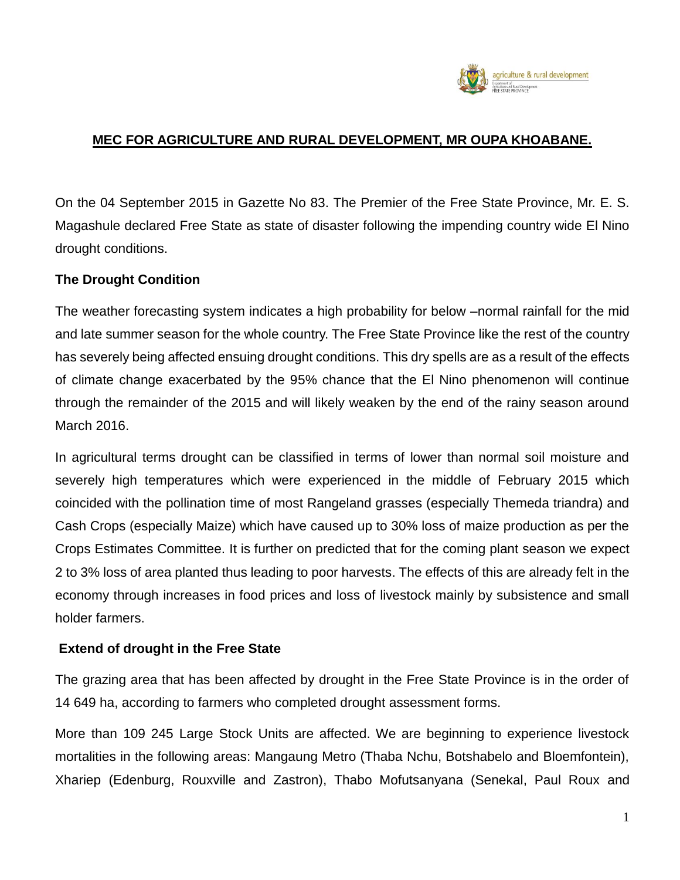

### **MEC FOR AGRICULTURE AND RURAL DEVELOPMENT, MR OUPA KHOABANE.**

On the 04 September 2015 in Gazette No 83. The Premier of the Free State Province, Mr. E. S. Magashule declared Free State as state of disaster following the impending country wide El Nino drought conditions.

### **The Drought Condition**

The weather forecasting system indicates a high probability for below –normal rainfall for the mid and late summer season for the whole country. The Free State Province like the rest of the country has severely being affected ensuing drought conditions. This dry spells are as a result of the effects of climate change exacerbated by the 95% chance that the El Nino phenomenon will continue through the remainder of the 2015 and will likely weaken by the end of the rainy season around March 2016.

In agricultural terms drought can be classified in terms of lower than normal soil moisture and severely high temperatures which were experienced in the middle of February 2015 which coincided with the pollination time of most Rangeland grasses (especially Themeda triandra) and Cash Crops (especially Maize) which have caused up to 30% loss of maize production as per the Crops Estimates Committee. It is further on predicted that for the coming plant season we expect 2 to 3% loss of area planted thus leading to poor harvests. The effects of this are already felt in the economy through increases in food prices and loss of livestock mainly by subsistence and small holder farmers.

### **Extend of drought in the Free State**

The grazing area that has been affected by drought in the Free State Province is in the order of 14 649 ha, according to farmers who completed drought assessment forms.

More than 109 245 Large Stock Units are affected. We are beginning to experience livestock mortalities in the following areas: Mangaung Metro (Thaba Nchu, Botshabelo and Bloemfontein), Xhariep (Edenburg, Rouxville and Zastron), Thabo Mofutsanyana (Senekal, Paul Roux and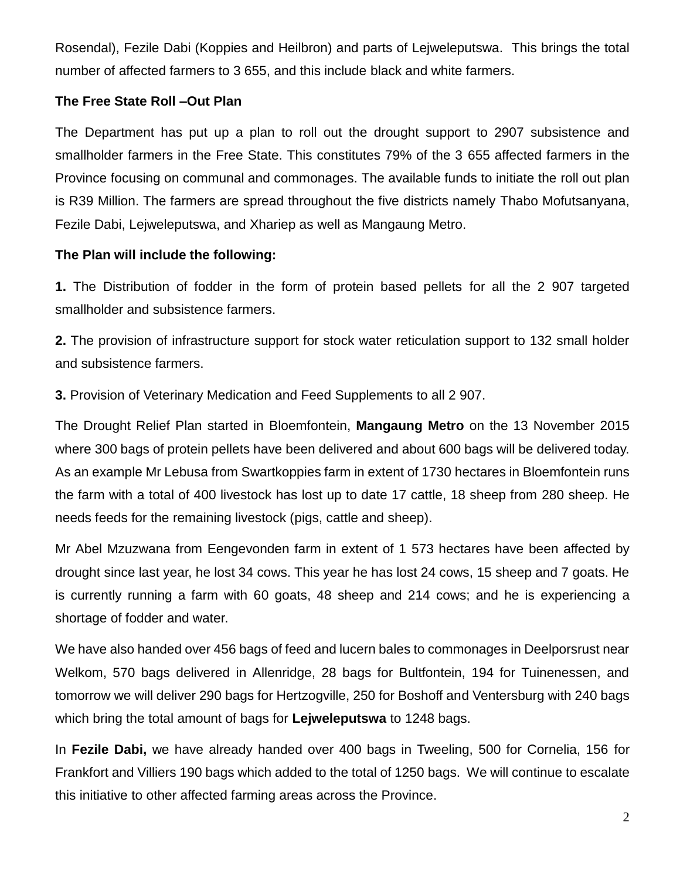Rosendal), Fezile Dabi (Koppies and Heilbron) and parts of Lejweleputswa. This brings the total number of affected farmers to 3 655, and this include black and white farmers.

### **The Free State Roll –Out Plan**

The Department has put up a plan to roll out the drought support to 2907 subsistence and smallholder farmers in the Free State. This constitutes 79% of the 3 655 affected farmers in the Province focusing on communal and commonages. The available funds to initiate the roll out plan is R39 Million. The farmers are spread throughout the five districts namely Thabo Mofutsanyana, Fezile Dabi, Lejweleputswa, and Xhariep as well as Mangaung Metro.

## **The Plan will include the following:**

**1.** The Distribution of fodder in the form of protein based pellets for all the 2 907 targeted smallholder and subsistence farmers.

**2.** The provision of infrastructure support for stock water reticulation support to 132 small holder and subsistence farmers.

**3.** Provision of Veterinary Medication and Feed Supplements to all 2 907.

The Drought Relief Plan started in Bloemfontein, **Mangaung Metro** on the 13 November 2015 where 300 bags of protein pellets have been delivered and about 600 bags will be delivered today. As an example Mr Lebusa from Swartkoppies farm in extent of 1730 hectares in Bloemfontein runs the farm with a total of 400 livestock has lost up to date 17 cattle, 18 sheep from 280 sheep. He needs feeds for the remaining livestock (pigs, cattle and sheep).

Mr Abel Mzuzwana from Eengevonden farm in extent of 1 573 hectares have been affected by drought since last year, he lost 34 cows. This year he has lost 24 cows, 15 sheep and 7 goats. He is currently running a farm with 60 goats, 48 sheep and 214 cows; and he is experiencing a shortage of fodder and water.

We have also handed over 456 bags of feed and lucern bales to commonages in Deelporsrust near Welkom, 570 bags delivered in Allenridge, 28 bags for Bultfontein, 194 for Tuinenessen, and tomorrow we will deliver 290 bags for Hertzogville, 250 for Boshoff and Ventersburg with 240 bags which bring the total amount of bags for **Lejweleputswa** to 1248 bags.

In **Fezile Dabi,** we have already handed over 400 bags in Tweeling, 500 for Cornelia, 156 for Frankfort and Villiers 190 bags which added to the total of 1250 bags. We will continue to escalate this initiative to other affected farming areas across the Province.